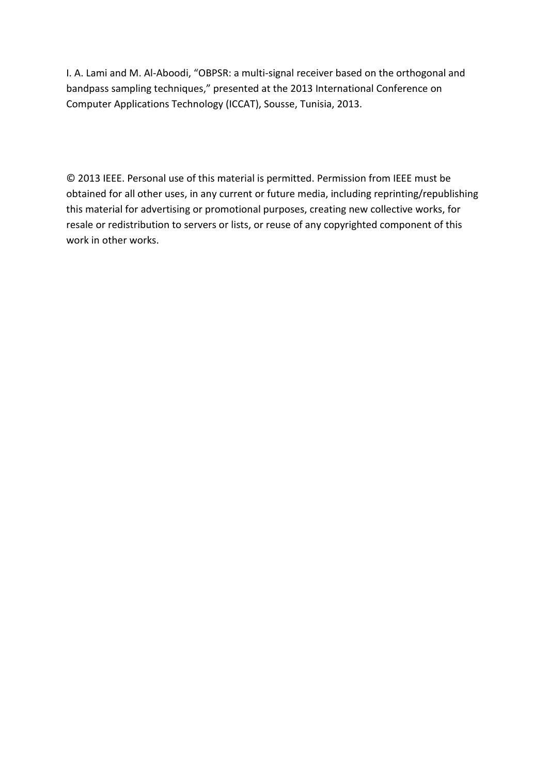I. A. Lami and M. Al-Aboodi, "OBPSR: a multi-signal receiver based on the orthogonal and bandpass sampling techniques," presented at the 2013 International Conference on Computer Applications Technology (ICCAT), Sousse, Tunisia, 2013.

© 2013 IEEE. Personal use of this material is permitted. Permission from IEEE must be obtained for all other uses, in any current or future media, including reprinting/republishing this material for advertising or promotional purposes, creating new collective works, for resale or redistribution to servers or lists, or reuse of any copyrighted component of this work in other works.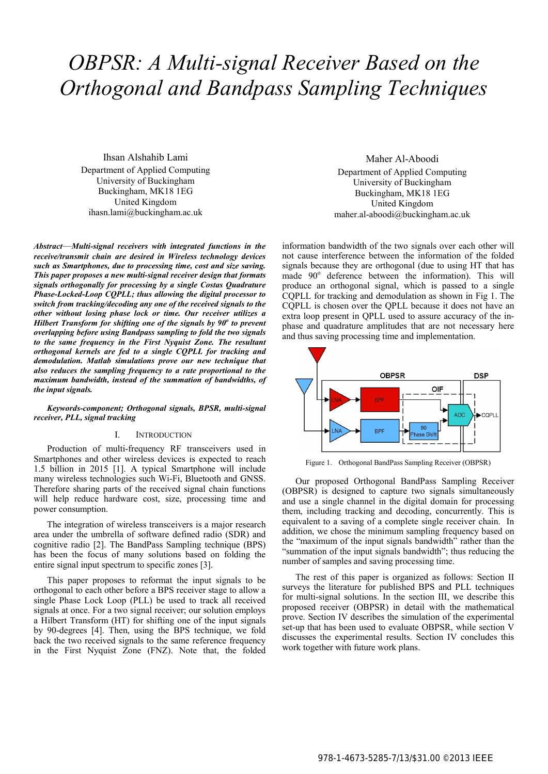# *OBPSR: A Multi-signal Receiver Based on the Orthogonal and Bandpass Sampling Techniques*

Ihsan Alshahib Lami Department of Applied Computing University of Buckingham Buckingham, MK18 1EG United Kingdom ihasn.lami@buckingham.ac.uk

*Abstract*—*Multi-signal receivers with integrated functions in the receive/transmit chain are desired in Wireless technology devices such as Smartphones, due to processing time, cost and size saving. This paper proposes a new multi-signal receiver design that formats signals orthogonally for processing by a single Costas Quadrature Phase-Locked-Loop CQPLL; thus allowing the digital processor to switch from tracking/decoding any one of the received signals to the other without losing phase lock or time. Our receiver utilizes a Hilbert Transform for shifting one of the signals by 90<sup>o</sup> to prevent overlapping before using Bandpass sampling to fold the two signals to the same frequency in the First Nyquist Zone. The resultant orthogonal kernels are fed to a single CQPLL for tracking and demodulation. Matlab simulations prove our new technique that also reduces the sampling frequency to a rate proportional to the maximum bandwidth, instead of the summation of bandwidths, of the input signals.* 

*Keywords-component; Orthogonal signals, BPSR, multi-signal receiver, PLL, signal tracking* 

#### I. INTRODUCTION

Production of multi-frequency RF transceivers used in Smartphones and other wireless devices is expected to reach 1.5 billion in 2015 [1]. A typical Smartphone will include many wireless technologies such Wi-Fi, Bluetooth and GNSS. Therefore sharing parts of the received signal chain functions will help reduce hardware cost, size, processing time and power consumption.

The integration of wireless transceivers is a major research area under the umbrella of software defined radio (SDR) and cognitive radio [2]. The BandPass Sampling technique (BPS) has been the focus of many solutions based on folding the entire signal input spectrum to specific zones [3].

This paper proposes to reformat the input signals to be orthogonal to each other before a BPS receiver stage to allow a single Phase Lock Loop (PLL) be used to track all received signals at once. For a two signal receiver; our solution employs a Hilbert Transform (HT) for shifting one of the input signals by 90-degrees [4]. Then, using the BPS technique, we fold back the two received signals to the same reference frequency in the First Nyquist Zone (FNZ). Note that, the folded

Maher Al-Aboodi Department of Applied Computing University of Buckingham Buckingham, MK18 1EG United Kingdom maher.al-aboodi@buckingham.ac.uk

information bandwidth of the two signals over each other will not cause interference between the information of the folded signals because they are orthogonal (due to using HT that has made 90° deference between the information). This will produce an orthogonal signal, which is passed to a single CQPLL for tracking and demodulation as shown in Fig 1. The CQPLL is chosen over the QPLL because it does not have an extra loop present in QPLL used to assure accuracy of the inphase and quadrature amplitudes that are not necessary here and thus saving processing time and implementation.



Figure 1. Orthogonal BandPass Sampling Receiver (OBPSR)

Our proposed Orthogonal BandPass Sampling Receiver (OBPSR) is designed to capture two signals simultaneously and use a single channel in the digital domain for processing them, including tracking and decoding, concurrently. This is equivalent to a saving of a complete single receiver chain. In addition, we chose the minimum sampling frequency based on the "maximum of the input signals bandwidth" rather than the "summation of the input signals bandwidth"; thus reducing the number of samples and saving processing time.

The rest of this paper is organized as follows: Section II surveys the literature for published BPS and PLL techniques for multi-signal solutions. In the section III, we describe this proposed receiver (OBPSR) in detail with the mathematical prove. Section IV describes the simulation of the experimental set-up that has been used to evaluate OBPSR, while section V discusses the experimental results. Section IV concludes this work together with future work plans.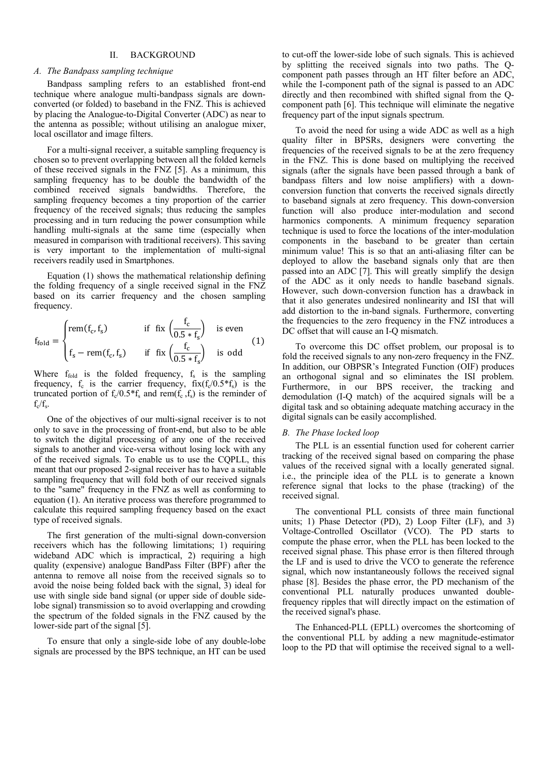## II. BACKGROUND

### *A. The Bandpass sampling technique*

Bandpass sampling refers to an established front-end technique where analogue multi-bandpass signals are downconverted (or folded) to baseband in the FNZ. This is achieved by placing the Analogue-to-Digital Converter (ADC) as near to the antenna as possible; without utilising an analogue mixer, local oscillator and image filters.

For a multi-signal receiver, a suitable sampling frequency is chosen so to prevent overlapping between all the folded kernels of these received signals in the FNZ [5]. As a minimum, this sampling frequency has to be double the bandwidth of the combined received signals bandwidths. Therefore, the sampling frequency becomes a tiny proportion of the carrier frequency of the received signals; thus reducing the samples processing and in turn reducing the power consumption while handling multi-signals at the same time (especially when measured in comparison with traditional receivers). This saving is very important to the implementation of multi-signal receivers readily used in Smartphones.

Equation (1) shows the mathematical relationship defining the folding frequency of a single received signal in the FNZ based on its carrier frequency and the chosen sampling frequency.

$$
f_{\text{fold}} = \begin{cases} \text{rem}(f_c, f_s) & \text{if } \text{fix} \left( \frac{f_c}{0.5 * f_s} \right) & \text{is even} \\ f_s - \text{rem}(f_c, f_s) & \text{if } \text{fix} \left( \frac{f_c}{0.5 * f_s} \right) & \text{is odd} \end{cases} \tag{1}
$$

Where  $f_{fold}$  is the folded frequency,  $f_s$  is the sampling frequency,  $f_c$  is the carrier frequency,  $fix(f_c/0.5*f_s)$  is the truncated portion of  $f_c/0.5*f_s$  and rem( $f_c$ ,  $f_s$ ) is the reminder of  $f_c/f_s$ .

One of the objectives of our multi-signal receiver is to not only to save in the processing of front-end, but also to be able to switch the digital processing of any one of the received signals to another and vice-versa without losing lock with any of the received signals. To enable us to use the CQPLL, this meant that our proposed 2-signal receiver has to have a suitable sampling frequency that will fold both of our received signals to the "same" frequency in the FNZ as well as conforming to equation (1). An iterative process was therefore programmed to calculate this required sampling frequency based on the exact type of received signals.

The first generation of the multi-signal down-conversion receivers which has the following limitations; 1) requiring wideband ADC which is impractical, 2) requiring a high quality (expensive) analogue BandPass Filter (BPF) after the antenna to remove all noise from the received signals so to avoid the noise being folded back with the signal, 3) ideal for use with single side band signal (or upper side of double sidelobe signal) transmission so to avoid overlapping and crowding the spectrum of the folded signals in the FNZ caused by the lower-side part of the signal [5].

To ensure that only a single-side lobe of any double-lobe signals are processed by the BPS technique, an HT can be used

to cut-off the lower-side lobe of such signals. This is achieved by splitting the received signals into two paths. The Qcomponent path passes through an HT filter before an ADC, while the I-component path of the signal is passed to an ADC directly and then recombined with shifted signal from the Qcomponent path [6]. This technique will eliminate the negative frequency part of the input signals spectrum.

To avoid the need for using a wide ADC as well as a high quality filter in BPSRs, designers were converting the frequencies of the received signals to be at the zero frequency in the FNZ. This is done based on multiplying the received signals (after the signals have been passed through a bank of bandpass filters and low noise amplifiers) with a downconversion function that converts the received signals directly to baseband signals at zero frequency. This down-conversion function will also produce inter-modulation and second harmonics components. A minimum frequency separation technique is used to force the locations of the inter-modulation components in the baseband to be greater than certain minimum value! This is so that an anti-aliasing filter can be deployed to allow the baseband signals only that are then passed into an ADC [7]. This will greatly simplify the design of the ADC as it only needs to handle baseband signals. However, such down-conversion function has a drawback in that it also generates undesired nonlinearity and ISI that will add distortion to the in-band signals. Furthermore, converting the frequencies to the zero frequency in the FNZ introduces a DC offset that will cause an I-Q mismatch.

To overcome this DC offset problem, our proposal is to fold the received signals to any non-zero frequency in the FNZ. In addition, our OBPSR's Integrated Function (OIF) produces an orthogonal signal and so eliminates the ISI problem. Furthermore, in our BPS receiver, the tracking and demodulation (I-Q match) of the acquired signals will be a digital task and so obtaining adequate matching accuracy in the digital signals can be easily accomplished.

#### *B. The Phase locked loop*

The PLL is an essential function used for coherent carrier tracking of the received signal based on comparing the phase values of the received signal with a locally generated signal. i.e., the principle idea of the PLL is to generate a known reference signal that locks to the phase (tracking) of the received signal.

The conventional PLL consists of three main functional units; 1) Phase Detector (PD), 2) Loop Filter (LF), and 3) Voltage-Controlled Oscillator (VCO). The PD starts to compute the phase error, when the PLL has been locked to the received signal phase. This phase error is then filtered through the LF and is used to drive the VCO to generate the reference signal, which now instantaneously follows the received signal phase [8]. Besides the phase error, the PD mechanism of the conventional PLL naturally produces unwanted doublefrequency ripples that will directly impact on the estimation of the received signal's phase.

The Enhanced-PLL (EPLL) overcomes the shortcoming of the conventional PLL by adding a new magnitude-estimator loop to the PD that will optimise the received signal to a well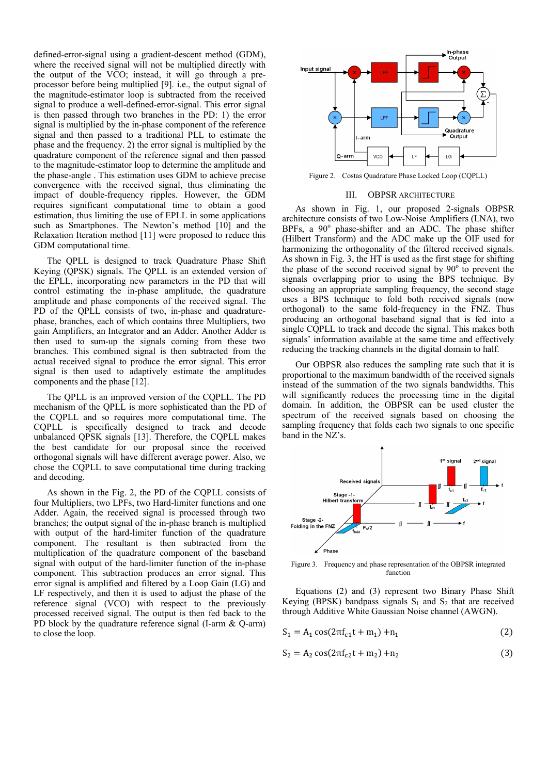defined-error-signal using a gradient-descent method (GDM), where the received signal will not be multiplied directly with the output of the VCO; instead, it will go through a preprocessor before being multiplied [9]. i.e., the output signal of the magnitude-estimator loop is subtracted from the received signal to produce a well-defined-error-signal. This error signal is then passed through two branches in the PD: 1) the error signal is multiplied by the in-phase component of the reference signal and then passed to a traditional PLL to estimate the phase and the frequency. 2) the error signal is multiplied by the quadrature component of the reference signal and then passed to the magnitude-estimator loop to determine the amplitude and the phase-angle . This estimation uses GDM to achieve precise convergence with the received signal, thus eliminating the impact of double-frequency ripples. However, the GDM requires significant computational time to obtain a good estimation, thus limiting the use of EPLL in some applications such as Smartphones. The Newton's method [10] and the Relaxation Iteration method [11] were proposed to reduce this GDM computational time.

The QPLL is designed to track Quadrature Phase Shift Keying (QPSK) signals. The QPLL is an extended version of the EPLL, incorporating new parameters in the PD that will control estimating the in-phase amplitude, the quadrature amplitude and phase components of the received signal. The PD of the QPLL consists of two, in-phase and quadraturephase, branches, each of which contains three Multipliers, two gain Amplifiers, an Integrator and an Adder. Another Adder is then used to sum-up the signals coming from these two branches. This combined signal is then subtracted from the actual received signal to produce the error signal. This error signal is then used to adaptively estimate the amplitudes components and the phase [12].

The QPLL is an improved version of the CQPLL. The PD mechanism of the QPLL is more sophisticated than the PD of the CQPLL and so requires more computational time. The CQPLL is specifically designed to track and decode unbalanced QPSK signals [13]. Therefore, the CQPLL makes the best candidate for our proposal since the received orthogonal signals will have different average power. Also, we chose the CQPLL to save computational time during tracking and decoding.

As shown in the Fig. 2, the PD of the CQPLL consists of four Multipliers, two LPFs, two Hard-limiter functions and one Adder. Again, the received signal is processed through two branches; the output signal of the in-phase branch is multiplied with output of the hard-limiter function of the quadrature component. The resultant is then subtracted from the multiplication of the quadrature component of the baseband signal with output of the hard-limiter function of the in-phase component. This subtraction produces an error signal. This error signal is amplified and filtered by a Loop Gain (LG) and LF respectively, and then it is used to adjust the phase of the reference signal (VCO) with respect to the previously processed received signal. The output is then fed back to the PD block by the quadrature reference signal (I-arm & Q-arm) to close the loop.



Figure 2. Costas Quadrature Phase Locked Loop (CQPLL)

#### III. OBPSR ARCHITECTURE

As shown in Fig. 1, our proposed 2-signals OBPSR architecture consists of two Low-Noise Amplifiers (LNA), two BPFs, a 90° phase-shifter and an ADC. The phase shifter (Hilbert Transform) and the ADC make up the OIF used for harmonizing the orthogonality of the filtered received signals. As shown in Fig. 3, the HT is used as the first stage for shifting the phase of the second received signal by  $90^\circ$  to prevent the signals overlapping prior to using the BPS technique. By choosing an appropriate sampling frequency, the second stage uses a BPS technique to fold both received signals (now orthogonal) to the same fold-frequency in the FNZ. Thus producing an orthogonal baseband signal that is fed into a single CQPLL to track and decode the signal. This makes both signals' information available at the same time and effectively reducing the tracking channels in the digital domain to half.

Our OBPSR also reduces the sampling rate such that it is proportional to the maximum bandwidth of the received signals instead of the summation of the two signals bandwidths. This will significantly reduces the processing time in the digital domain. In addition, the OBPSR can be used cluster the spectrum of the received signals based on choosing the sampling frequency that folds each two signals to one specific band in the NZ's.



Figure 3. Frequency and phase representation of the OBPSR integrated function

Equations (2) and (3) represent two Binary Phase Shift Keying (BPSK) bandpass signals  $S_1$  and  $S_2$  that are received through Additive White Gaussian Noise channel (AWGN).

$$
S_1 = A_1 \cos(2\pi f_{c1} t + m_1) + n_1 \tag{2}
$$

$$
S_2 = A_2 \cos(2\pi f_{c2} t + m_2) + n_2 \tag{3}
$$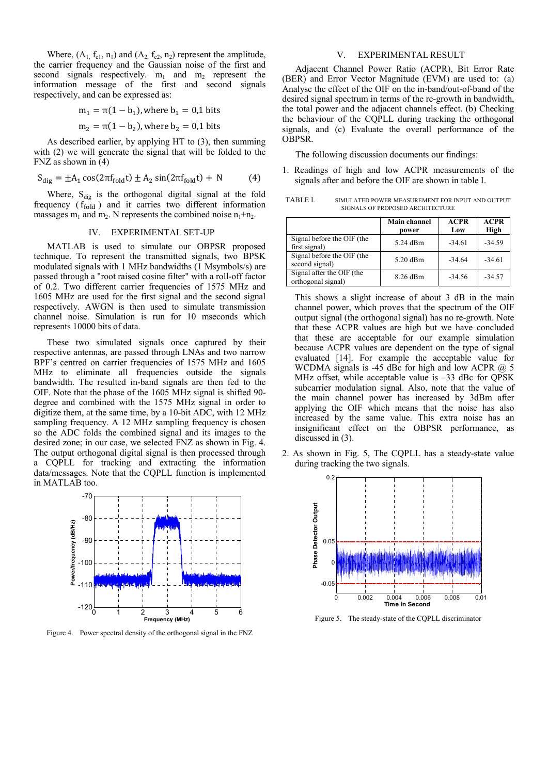Where,  $(A_1, f_{c1}, n_1)$  and  $(A_2, f_{c2}, n_2)$  represent the amplitude, the carrier frequency and the Gaussian noise of the first and second signals respectively.  $m_1$  and  $m_2$  represent the information message of the first and second signals respectively, and can be expressed as:

$$
m_1 = \pi(1 - b_1)
$$
, where  $b_1 = 0.1$  bits

$$
m_2 = \pi(1 - b_2)
$$
, where  $b_2 = 0.1$  bits

As described earlier, by applying HT to (3), then summing with (2) we will generate the signal that will be folded to the FNZ as shown in (4)

$$
S_{\text{dig}} = \pm A_1 \cos(2\pi f_{\text{fold}}t) \pm A_2 \sin(2\pi f_{\text{fold}}t) + N \tag{4}
$$

Where,  $S_{\text{dig}}$  is the orthogonal digital signal at the fold frequency  $(f_{fold})$  and it carries two different information massages  $m_1$  and  $m_2$ . N represents the combined noise  $n_1+n_2$ .

## IV. EXPERIMENTAL SET-UP

MATLAB is used to simulate our OBPSR proposed technique. To represent the transmitted signals, two BPSK modulated signals with 1 MHz bandwidths (1 Msymbols/s) are passed through a "root raised cosine filter" with a roll-off factor of 0.2. Two different carrier frequencies of 1575 MHz and 1605 MHz are used for the first signal and the second signal respectively. AWGN is then used to simulate transmission channel noise. Simulation is run for 10 mseconds which represents 10000 bits of data.

These two simulated signals once captured by their respective antennas, are passed through LNAs and two narrow BPF's centred on carrier frequencies of 1575 MHz and 1605 MHz to eliminate all frequencies outside the signals bandwidth. The resulted in-band signals are then fed to the OIF. Note that the phase of the 1605 MHz signal is shifted 90 degree and combined with the 1575 MHz signal in order to digitize them, at the same time, by a 10-bit ADC, with 12 MHz sampling frequency. A 12 MHz sampling frequency is chosen so the ADC folds the combined signal and its images to the desired zone; in our case, we selected FNZ as shown in Fig. 4. The output orthogonal digital signal is then processed through a CQPLL for tracking and extracting the information data/messages. Note that the CQPLL function is implemented in MATLAB too.



Figure 4. Power spectral density of the orthogonal signal in the FNZ

## V. EXPERIMENTAL RESULT

Adjacent Channel Power Ratio (ACPR), Bit Error Rate (BER) and Error Vector Magnitude (EVM) are used to: (a) Analyse the effect of the OIF on the in-band/out-of-band of the desired signal spectrum in terms of the re-growth in bandwidth, the total power and the adjacent channels effect. (b) Checking the behaviour of the CQPLL during tracking the orthogonal signals, and (c) Evaluate the overall performance of the OBPSR.

The following discussion documents our findings:

1. Readings of high and low ACPR measurements of the signals after and before the OIF are shown in table I.

TABLE I. SIMULATED POWER MEASUREMENT FOR INPUT AND OUTPUT SIGNALS OF PROPOSED ARCHITECTURE

|                                                 | <b>Main channel</b><br>power | <b>ACPR</b><br>Low | <b>ACPR</b><br>High |
|-------------------------------------------------|------------------------------|--------------------|---------------------|
| Signal before the OIF (the<br>first signal)     | 5.24 dBm                     | $-34.61$           | $-34.59$            |
| Signal before the OIF (the<br>second signal)    | 5.20 dBm                     | $-34.64$           | $-34.61$            |
| Signal after the OIF (the<br>orthogonal signal) | 8.26 dBm                     | $-34.56$           | $-34.57$            |

This shows a slight increase of about 3 dB in the main channel power, which proves that the spectrum of the OIF output signal (the orthogonal signal) has no re-growth. Note that these ACPR values are high but we have concluded that these are acceptable for our example simulation because ACPR values are dependent on the type of signal evaluated [14]. For example the acceptable value for WCDMA signals is -45 dBc for high and low ACPR  $(a)$ , 5 MHz offset, while acceptable value is -33 dBc for QPSK subcarrier modulation signal. Also, note that the value of the main channel power has increased by 3dBm after applying the OIF which means that the noise has also increased by the same value. This extra noise has an insignificant effect on the OBPSR performance, as discussed in (3).

2. As shown in Fig. 5, The CQPLL has a steady-state value during tracking the two signals.



Figure 5. The steady-state of the CQPLL discriminator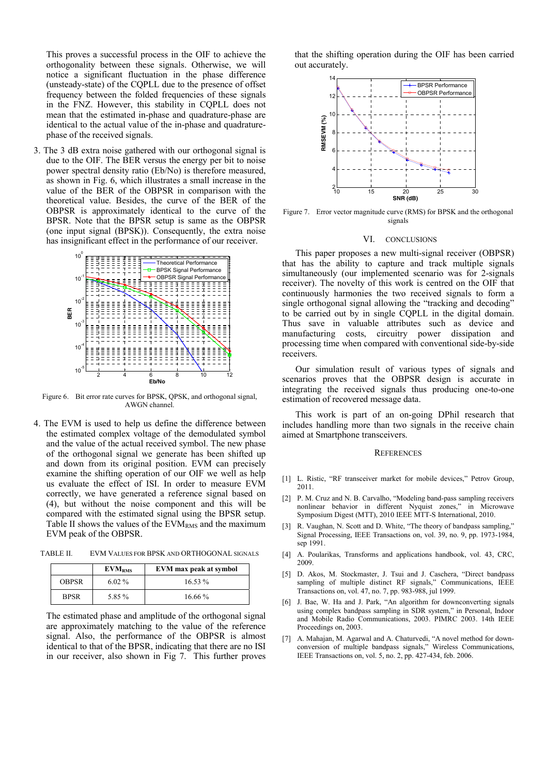This proves a successful process in the OIF to achieve the orthogonality between these signals. Otherwise, we will notice a significant fluctuation in the phase difference (unsteady-state) of the CQPLL due to the presence of offset frequency between the folded frequencies of these signals in the FNZ. However, this stability in CQPLL does not mean that the estimated in-phase and quadrature-phase are identical to the actual value of the in-phase and quadraturephase of the received signals.

3. The 3 dB extra noise gathered with our orthogonal signal is due to the OIF. The BER versus the energy per bit to noise power spectral density ratio (Eb/No) is therefore measured, as shown in Fig. 6, which illustrates a small increase in the value of the BER of the OBPSR in comparison with the theoretical value. Besides, the curve of the BER of the OBPSR is approximately identical to the curve of the BPSR. Note that the BPSR setup is same as the OBPSR (one input signal (BPSK)). Consequently, the extra noise has insignificant effect in the performance of our receiver.



Figure 6. Bit error rate curves for BPSK, QPSK, and orthogonal signal, AWGN channel.

4. The EVM is used to help us define the difference between the estimated complex voltage of the demodulated symbol and the value of the actual received symbol. The new phase of the orthogonal signal we generate has been shifted up and down from its original position. EVM can precisely examine the shifting operation of our OIF we well as help us evaluate the effect of ISI. In order to measure EVM correctly, we have generated a reference signal based on (4), but without the noise component and this will be compared with the estimated signal using the BPSR setup. Table II shows the values of the  $EVM<sub>RMS</sub>$  and the maximum EVM peak of the OBPSR.

TABLE II. EVM VALUES FOR BPSK AND ORTHOGONAL SIGNALS

|              | EVM <sub>RMS</sub> | EVM max peak at symbol |
|--------------|--------------------|------------------------|
| <b>OBPSR</b> | $6.02\%$           | $16.53\%$              |
| <b>BPSR</b>  | 5.85%              | $16.66\%$              |

The estimated phase and amplitude of the orthogonal signal are approximately matching to the value of the reference signal. Also, the performance of the OBPSR is almost identical to that of the BPSR, indicating that there are no ISI in our receiver, also shown in Fig 7. This further proves

that the shifting operation during the OIF has been carried out accurately.



Figure 7. Error vector magnitude curve (RMS) for BPSK and the orthogonal signals

#### VI. CONCLUSIONS

This paper proposes a new multi-signal receiver (OBPSR) that has the ability to capture and track multiple signals simultaneously (our implemented scenario was for 2-signals receiver). The novelty of this work is centred on the OIF that continuously harmonies the two received signals to form a single orthogonal signal allowing the "tracking and decoding" to be carried out by in single CQPLL in the digital domain. Thus save in valuable attributes such as device and manufacturing costs, circuitry power dissipation and processing time when compared with conventional side-by-side receivers.

Our simulation result of various types of signals and scenarios proves that the OBPSR design is accurate in integrating the received signals thus producing one-to-one estimation of recovered message data.

This work is part of an on-going DPhil research that includes handling more than two signals in the receive chain aimed at Smartphone transceivers.

## **REFERENCES**

- [1] L. Ristic, "RF transceiver market for mobile devices," Petrov Group, 2011.
- [2] P. M. Cruz and N. B. Carvalho, "Modeling band-pass sampling receivers nonlinear behavior in different Nyquist zones," in Microwave Symposium Digest (MTT), 2010 IEEE MTT-S International, 2010.
- [3] R. Vaughan, N. Scott and D. White, "The theory of bandpass sampling," Signal Processing, IEEE Transactions on, vol. 39, no. 9, pp. 1973-1984, sep 1991.
- [4] A. Poularikas, Transforms and applications handbook, vol. 43, CRC, 2009.
- [5] D. Akos, M. Stockmaster, J. Tsui and J. Caschera, "Direct bandpass sampling of multiple distinct RF signals," Communications, IEEE Transactions on, vol. 47, no. 7, pp. 983-988, jul 1999.
- [6] J. Bae, W. Ha and J. Park, "An algorithm for downconverting signals using complex bandpass sampling in SDR system," in Personal, Indoor and Mobile Radio Communications, 2003. PIMRC 2003. 14th IEEE Proceedings on, 2003.
- [7] A. Mahajan, M. Agarwal and A. Chaturvedi, "A novel method for downconversion of multiple bandpass signals," Wireless Communications, IEEE Transactions on, vol. 5, no. 2, pp. 427-434, feb. 2006.